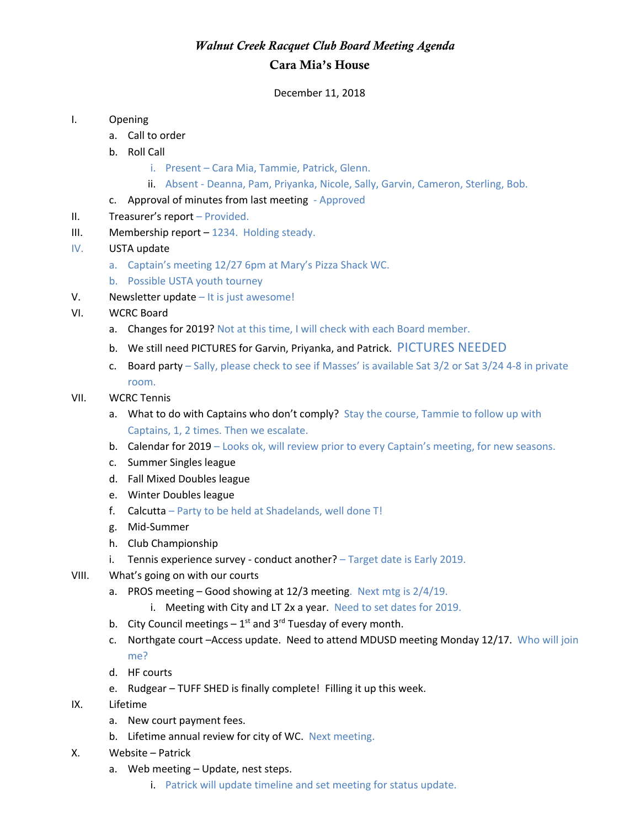## *Walnut Creek Racquet Club Board Meeting Agenda* Cara Mia's House

December 11, 2018

## I. Opening

- a. Call to order
- b. Roll Call
	- i. Present Cara Mia, Tammie, Patrick, Glenn.
	- ii. Absent Deanna, Pam, Priyanka, Nicole, Sally, Garvin, Cameron, Sterling, Bob.
- c. Approval of minutes from last meeting Approved
- II. Treasurer's report Provided.
- III. Membership report 1234. Holding steady.
- IV. USTA update
	- a. Captain's meeting 12/27 6pm at Mary's Pizza Shack WC.
	- b. Possible USTA youth tourney
- V. Newsletter update It is just awesome!
- VI. WCRC Board
	- a. Changes for 2019? Not at this time, I will check with each Board member.
	- b. We still need PICTURES for Garvin, Priyanka, and Patrick. PICTURES NEEDED
	- c. Board party Sally, please check to see if Masses' is available Sat 3/2 or Sat 3/24 4-8 in private room.

## VII. WCRC Tennis

- a. What to do with Captains who don't comply? Stay the course, Tammie to follow up with Captains, 1, 2 times. Then we escalate.
- b. Calendar for 2019 Looks ok, will review prior to every Captain's meeting, for new seasons.
- c. Summer Singles league
- d. Fall Mixed Doubles league
- e. Winter Doubles league
- f. Calcutta Party to be held at Shadelands, well done T!
- g. Mid-Summer
- h. Club Championship
- i. Tennis experience survey conduct another? Target date is Early 2019.
- VIII. What's going on with our courts
	- a. PROS meeting Good showing at 12/3 meeting. Next mtg is 2/4/19.
		- i. Meeting with City and LT 2x a year. Need to set dates for 2019.
	- b. City Council meetings  $-1^{st}$  and 3<sup>rd</sup> Tuesday of every month.
	- c. Northgate court –Access update. Need to attend MDUSD meeting Monday 12/17. Who will join me?
	- d. HF courts
	- e. Rudgear TUFF SHED is finally complete! Filling it up this week.
- IX. Lifetime
	- a. New court payment fees.
	- b. Lifetime annual review for city of WC. Next meeting.
- X. Website Patrick
	- a. Web meeting Update, nest steps.
		- i. Patrick will update timeline and set meeting for status update.